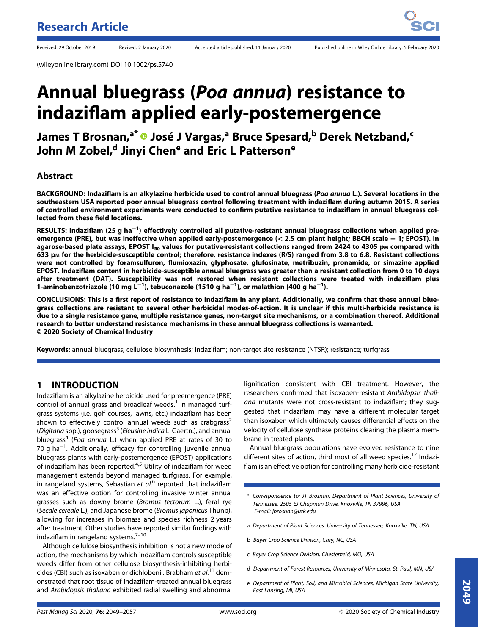(wileyonlinelibrary.com) DOI 10.1002/ps.5740

# Annual bluegrass (Poa annua) resistance to indaziflam applied early-postemergence

James T Brosnan,<sup>a\*</sup> <sup>D</sup> José J Vargas,<sup>a</sup> Bruce Spesard,<sup>b</sup> Derek Netzband,<sup>c</sup> John M Zobel,<sup>d</sup> Jinyi Chen<sup>e</sup> and Eric L Patterson<sup>e</sup>

## Abstract

BACKGROUND: Indaziflam is an alkylazine herbicide used to control annual bluegrass (Poa annua L.). Several locations in the southeastern USA reported poor annual bluegrass control following treatment with indaziflam during autumn 2015. A series of controlled environment experiments were conducted to confirm putative resistance to indaziflam in annual bluegrass collected from these field locations.

RESULTS: Indaziflam (25 g ha<sup>−1</sup>) effectively controlled all putative-resistant annual bluegrass collections when applied preemergence (PRE), but was ineffective when applied early-postemergence ( $<$  2.5 cm plant height; BBCH scale = 1; EPOST). In agarose-based plate assays, EPOST  $I_{50}$  values for putative-resistant collections ranged from 2424 to 4305 pm compared with 633 pM for the herbicide-susceptible control; therefore, resistance indexes (R/S) ranged from 3.8 to 6.8. Resistant collections were not controlled by foramsulfuron, flumioxazin, glyphosate, glufosinate, metribuzin, pronamide, or simazine applied EPOST. Indaziflam content in herbicide-susceptible annual bluegrass was greater than a resistant collection from 0 to 10 days after treatment (DAT). Susceptibility was not restored when resistant collections were treated with indaziflam plus 1-aminobenzotriazole (10 mg L<sup>−1</sup>), tebuconazole (1510 g ha<sup>−1</sup>), or malathion (400 g ha<sup>−1</sup>).

CONCLUSIONS: This is a first report of resistance to indaziflam in any plant. Additionally, we confirm that these annual bluegrass collections are resistant to several other herbicidal modes-of-action. It is unclear if this multi-herbicide resistance is due to a single resistance gene, multiple resistance genes, non-target site mechanisms, or a combination thereof. Additional research to better understand resistance mechanisms in these annual bluegrass collections is warranted. © 2020 Society of Chemical Industry

Keywords: annual bluegrass; cellulose biosynthesis; indaziflam; non-target site resistance (NTSR); resistance; turfgrass

## 1 INTRODUCTION

Indaziflam is an alkylazine herbicide used for preemergence (PRE) control of annual grass and broadleaf weeds. $1$  In managed turfgrass systems (i.e. golf courses, lawns, etc.) indaziflam has been shown to effectively control annual weeds such as crabgrass<sup>2</sup> (Digitaria spp.), goosegrass<sup>3</sup> (Eleusine indica L. Gaertn.), and annual bluegrass<sup>4</sup> (Poa annua L.) when applied PRE at rates of 30 to 70 g ha<sup>-1</sup>. Additionally, efficacy for controlling juvenile annual bluegrass plants with early-postemergence (EPOST) applications of indaziflam has been reported.<sup>4,5</sup> Utility of indaziflam for weed management extends beyond managed turfgrass. For example, in rangeland systems, Sebastian et al.<sup>6</sup> reported that indaziflam was an effective option for controlling invasive winter annual grasses such as downy brome (Bromus tectorum L.), feral rye (Secale cereale L.), and Japanese brome (Bromus japonicus Thunb), allowing for increases in biomass and species richness 2 years after treatment. Other studies have reported similar findings with indaziflam in rangeland systems. $7-10$ 

Although cellulose biosynthesis inhibition is not a new mode of action, the mechanisms by which indaziflam controls susceptible weeds differ from other cellulose biosynthesis-inhibiting herbicides (CBI) such as isoxaben or dichlobenil. Brabham et al.<sup>11</sup> demonstrated that root tissue of indaziflam-treated annual bluegrass and Arabidopsis thaliana exhibited radial swelling and abnormal

lignification consistent with CBI treatment. However, the researchers confirmed that isoxaben-resistant Arabidopsis thaliana mutants were not cross-resistant to indaziflam; they suggested that indaziflam may have a different molecular target than isoxaben which ultimately causes differential effects on the velocity of cellulose synthase proteins clearing the plasma membrane in treated plants.

Annual bluegrass populations have evolved resistance to nine different sites of action, third most of all weed species.<sup>12</sup> Indaziflam is an effective option for controlling many herbicide-resistant

- \* Correspondence to: JT Brosnan, Department of Plant Sciences, University of Tennessee, 2505 EJ Chapman Drive, Knoxville, TN 37996, USA. E-mail: [jbrosnan@utk.edu](mailto:jbrosnan@utk.edu)
- a Department of Plant Sciences, University of Tennessee, Knoxville, TN, USA
- b Bayer Crop Science Division, Cary, NC, USA
- c Bayer Crop Science Division, Chesterfield, MO, USA
- d Department of Forest Resources, University of Minnesota, St. Paul, MN, USA
- e Department of Plant, Soil, and Microbial Sciences, Michigan State University, East Lansing, MI, USA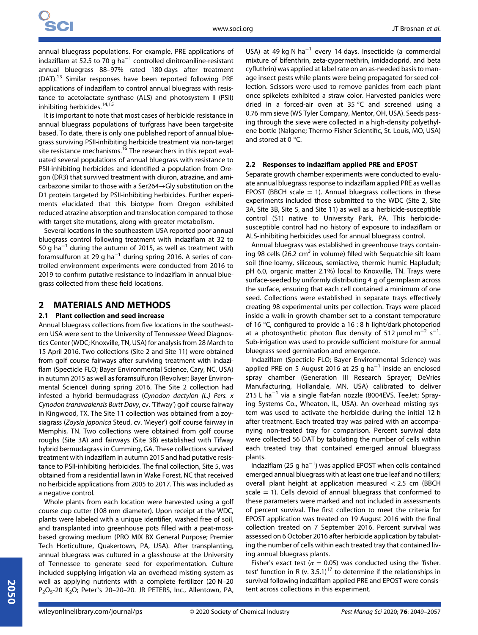annual bluegrass populations. For example, PRE applications of indaziflam at 52.5 to 70 g ha<sup> $-1$ </sup> controlled dinitroaniline-resistant annual bluegrass 88–97% rated 180 days after treatment (DAT).13 Similar responses have been reported following PRE applications of indaziflam to control annual bluegrass with resistance to acetolactate synthase (ALS) and photosystem II (PSII) inhibiting herbicides.14,15

It is important to note that most cases of herbicide resistance in annual bluegrass populations of turfgrass have been target-site based. To date, there is only one published report of annual bluegrass surviving PSII-inhibiting herbicide treatment via non-target site resistance mechanisms.<sup>16</sup> The researchers in this report evaluated several populations of annual bluegrass with resistance to PSII-inhibiting herbicides and identified a population from Oregon (DR3) that survived treatment with diuron, atrazine, and amicarbazone similar to those with a Ser264→Gly substitution on the D1 protein targeted by PSII-inhibiting herbicides. Further experiments elucidated that this biotype from Oregon exhibited reduced atrazine absorption and translocation compared to those with target site mutations, along with greater metabolism.

Several locations in the southeastern USA reported poor annual bluegrass control following treatment with indaziflam at 32 to 50 g ha<sup> $-1$ </sup> during the autumn of 2015, as well as treatment with foramsulfuron at 29 g ha<sup>-1</sup> during spring 2016. A series of controlled environment experiments were conducted from 2016 to 2019 to confirm putative resistance to indaziflam in annual bluegrass collected from these field locations.

## 2 MATERIALS AND METHODS

### 2.1 Plant collection and seed increase

Annual bluegrass collections from five locations in the southeastern USA were sent to the University of Tennessee Weed Diagnostics Center (WDC; Knoxville, TN, USA) for analysis from 28 March to 15 April 2016. Two collections (Site 2 and Site 11) were obtained from golf course fairways after surviving treatment with indaziflam (Specticle FLO; Bayer Environmental Science, Cary, NC, USA) in autumn 2015 as well as foramsulfuron (Revolver; Bayer Environmental Science) during spring 2016. The Site 2 collection had infested a hybrid bermudagrass (Cynodon dactylon (L.) Pers. x Cynodon transvaalensis Burtt Davy, cv. 'Tifway') golf course fairway in Kingwood, TX. The Site 11 collection was obtained from a zoysiagrass (Zoysia japonica Steud, cv. 'Meyer') golf course fairway in Memphis, TN. Two collections were obtained from golf course roughs (Site 3A) and fairways (Site 3B) established with Tifway hybrid bermudagrass in Cumming, GA. These collections survived treatment with indaziflam in autumn 2015 and had putative resistance to PSII-inhibiting herbicides. The final collection, Site 5, was obtained from a residential lawn in Wake Forest, NC that received no herbicide applications from 2005 to 2017. This was included as a negative control.

Whole plants from each location were harvested using a golf course cup cutter (108 mm diameter). Upon receipt at the WDC, plants were labeled with a unique identifier, washed free of soil, and transplanted into greenhouse pots filled with a peat-mossbased growing medium (PRO MIX BX General Purpose; Premier Tech Horticulture, Quakertown, PA, USA). After transplanting, annual bluegrass was cultured in a glasshouse at the University of Tennessee to generate seed for experimentation. Culture included supplying irrigation via an overhead misting system as well as applying nutrients with a complete fertilizer (20 N–20 P<sub>2</sub>O<sub>5</sub>-20 K<sub>2</sub>O; Peter's 20-20-20. JR PETERS, Inc., Allentown, PA,

USA) at 49 kg N ha<sup>-1</sup> every 14 days. Insecticide (a commercial mixture of bifenthrin, zeta-cypermethrin, imidacloprid, and beta cyfluthrin) was applied at label rate on an as-needed basis to manage insect pests while plants were being propagated for seed collection. Scissors were used to remove panicles from each plant once spikelets exhibited a straw color. Harvested panicles were dried in a forced-air oven at 35 °C and screened using a 0.76 mm sieve (WS Tyler Company, Mentor, OH, USA). Seeds passing through the sieve were collected in a high-density polyethylene bottle (Nalgene; Thermo-Fisher Scientific, St. Louis, MO, USA) and stored at 0 °C.

#### 2.2 Responses to indaziflam applied PRE and EPOST

Separate growth chamber experiments were conducted to evaluate annual bluegrass response to indaziflam applied PRE as well as EPOST (BBCH scale  $= 1$ ). Annual bluegrass collections in these experiments included those submitted to the WDC (Site 2, Site 3A, Site 3B, Site 5, and Site 11) as well as a herbicide-susceptible control (S1) native to University Park, PA. This herbicidesusceptible control had no history of exposure to indaziflam or ALS-inhibiting herbicides used for annual bluegrass control.

Annual bluegrass was established in greenhouse trays containing 98 cells (26.2 cm<sup>3</sup> in volume) filled with Sequatchie silt loam soil (fine-loamy, siliceous, semiactive, thermic humic Hapludult; pH 6.0, organic matter 2.1%) local to Knoxville, TN. Trays were surface-seeded by uniformly distributing 4 g of germplasm across the surface, ensuring that each cell contained a minimum of one seed. Collections were established in separate trays effectively creating 98 experimental units per collection. Trays were placed inside a walk-in growth chamber set to a constant temperature of 16 °C, configured to provide a 16 : 8 h light/dark photoperiod at a photosynthetic photon flux density of 512  $\mu$ mol m<sup>-2</sup> s<sup>-1</sup> . Sub-irrigation was used to provide sufficient moisture for annual bluegrass seed germination and emergence.

Indaziflam (Specticle FLO; Bayer Environmental Science) was applied PRE on 5 August 2016 at 25 g ha<sup>-1</sup> inside an enclosed spray chamber (Generation III Research Sprayer; DeVries Manufacturing, Hollandale, MN, USA) calibrated to deliver 215 L ha<sup>-1</sup> via a single flat-fan nozzle (8004EVS. TeeJet; Spraying Systems Co., Wheaton, IL, USA). An overhead misting system was used to activate the herbicide during the initial 12 h after treatment. Each treated tray was paired with an accompanying non-treated tray for comparison. Percent survival data were collected 56 DAT by tabulating the number of cells within each treated tray that contained emerged annual bluegrass plants.

Indaziflam (25 g ha<sup>-1</sup>) was applied EPOST when cells contained emerged annual bluegrass with at least one true leaf and no tillers; overall plant height at application measured < 2.5 cm (BBCH scale = 1). Cells devoid of annual bluegrass that conformed to these parameters were marked and not included in assessments of percent survival. The first collection to meet the criteria for EPOST application was treated on 19 August 2016 with the final collection treated on 7 September 2016. Percent survival was assessed on 6 October 2016 after herbicide application by tabulating the number of cells within each treated tray that contained living annual bluegrass plants.

Fisher's exact test ( $\alpha = 0.05$ ) was conducted using the 'fisher. test' function in R (v. 3.5.1)<sup>17</sup> to determine if the relationships in survival following indaziflam applied PRE and EPOST were consistent across collections in this experiment.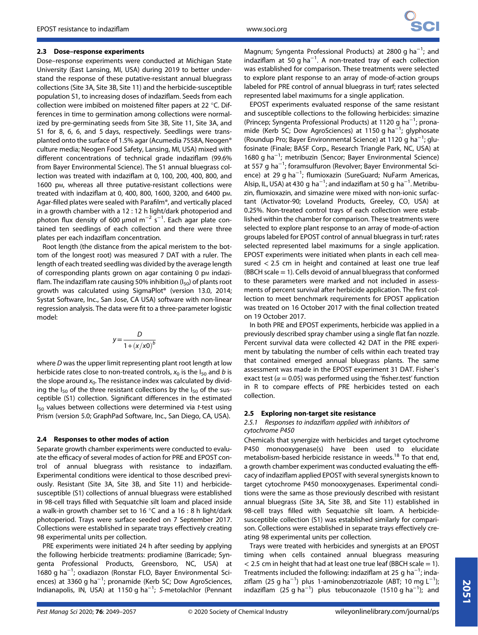Dose–response experiments were conducted at Michigan State University (East Lansing, MI, USA) during 2019 to better understand the response of these putative-resistant annual bluegrass collections (Site 3A, Site 3B, Site 11) and the herbicide-susceptible population S1, to increasing doses of indaziflam. Seeds from each collection were imbibed on moistened filter papers at 22 °C. Differences in time to germination among collections were normalized by pre-germinating seeds from Site 3B, Site 11, Site 3A, and S1 for 8, 6, 6, and 5 days, respectively. Seedlings were transplanted onto the surface of 1.5% agar (Acumedia 7558A, Neogen® culture media; Neogen Food Safety, Lansing, MI, USA) mixed with different concentrations of technical grade indaziflam (99.6% from Bayer Environmental Science). The S1 annual bluegrass collection was treated with indaziflam at 0, 100, 200, 400, 800, and 1600 pM, whereas all three putative-resistant collections were treated with indaziflam at 0, 400, 800, 1600, 3200, and 6400 pM. Agar-filled plates were sealed with Parafilm®, and vertically placed in a growth chamber with a 12 : 12 h light/dark photoperiod and photon flux density of 600 µmol m<sup>-2</sup> s<sup>-1</sup>. Each agar plate contained ten seedlings of each collection and there were three plates per each indaziflam concentration.

Root length (the distance from the apical meristem to the bottom of the longest root) was measured 7 DAT with a ruler. The length of each treated seedling was divided by the average length of corresponding plants grown on agar containing 0 pm indaziflam. The indaziflam rate causing 50% inhibition  $(I_{50})$  of plants root growth was calculated using SigmaPlot® (version 13.0, 2014; Systat Software, Inc., San Jose, CA USA) software with non-linear regression analysis. The data were fit to a three-parameter logistic model:

$$
y = \frac{D}{1 + (x/x0)^b}
$$

where D was the upper limit representing plant root length at low herbicide rates close to non-treated controls,  $x_0$  is the  $I_{50}$  and b is the slope around  $x_0$ . The resistance index was calculated by dividing the  $I_{50}$  of the three resistant collections by the  $I_{50}$  of the susceptible (S1) collection. Significant differences in the estimated  $I_{50}$  values between collections were determined via t-test using Prism (version 5.0; GraphPad Software, Inc., San Diego, CA, USA).

#### 2.4 Responses to other modes of action

Separate growth chamber experiments were conducted to evaluate the efficacy of several modes of action for PRE and EPOST control of annual bluegrass with resistance to indaziflam. Experimental conditions were identical to those described previously. Resistant (Site 3A, Site 3B, and Site 11) and herbicidesusceptible (S1) collections of annual bluegrass were established in 98-cell trays filled with Sequatchie silt loam and placed inside a walk-in growth chamber set to 16 °C and a 16 : 8 h light/dark photoperiod. Trays were surface seeded on 7 September 2017. Collections were established in separate trays effectively creating 98 experimental units per collection.

PRE experiments were initiated 24 h after seeding by applying the following herbicide treatments: prodiamine (Barricade; Syngenta Professional Products, Greensboro, NC, USA) at 1680 g ha−<sup>1</sup> ; oxadiazon (Ronstar FLO, Bayer Environmental Sciences) at 3360 g ha<sup>-1</sup>; pronamide (Kerb SC; Dow AgroSciences, Indianapolis, IN, USA) at 1150 g ha<sup>-1</sup>; S-metolachlor (Pennant

Magnum; Syngenta Professional Products) at 2800 g ha<sup>-1</sup>; and indaziflam at 50 g ha<sup>-1</sup>. A non-treated tray of each collection was established for comparison. These treatments were selected to explore plant response to an array of mode-of-action groups labeled for PRE control of annual bluegrass in turf; rates selected represented label maximums for a single application.

EPOST experiments evaluated response of the same resistant and susceptible collections to the following herbicides: simazine (Princep; Syngenta Professional Products) at 1120 g ha<sup>-1</sup>; pronamide (Kerb SC; Dow AgroSciences) at 1150 g ha<sup>-1</sup>; glyphosate (Roundup Pro; Bayer Environmental Science) at 1120 g ha−<sup>1</sup> ; glufosinate (Finale; BASF Corp., Research Triangle Park, NC, USA) at 1680 g ha−<sup>1</sup> ; metribuzin (Sencor; Bayer Environmental Science) at 557 g ha−<sup>1</sup> ; foramsulfuron (Revolver; Bayer Environmental Science) at 29 g ha<sup>-1</sup>; flumioxazin (SureGuard; NuFarm Americas, Alsip, IL, USA) at 430 g ha<sup>-1</sup>; and indaziflam at 50 g ha<sup>-1</sup>. Metribuzin, flumioxazin, and simazine were mixed with non-ionic surfactant (Activator-90; Loveland Products, Greeley, CO, USA) at 0.25%. Non-treated control trays of each collection were established within the chamber for comparison. These treatments were selected to explore plant response to an array of mode-of-action groups labeled for EPOST control of annual bluegrass in turf; rates selected represented label maximums for a single application. EPOST experiments were initiated when plants in each cell measured < 2.5 cm in height and contained at least one true leaf (BBCH scale = 1). Cells devoid of annual bluegrass that conformed to these parameters were marked and not included in assessments of percent survival after herbicide application. The first collection to meet benchmark requirements for EPOST application was treated on 16 October 2017 with the final collection treated on 19 October 2017.

In both PRE and EPOST experiments, herbicide was applied in a previously described spray chamber using a single flat fan nozzle. Percent survival data were collected 42 DAT in the PRE experiment by tabulating the number of cells within each treated tray that contained emerged annual bluegrass plants. The same assessment was made in the EPOST experiment 31 DAT. Fisher's exact test ( $\alpha$  = 0.05) was performed using the 'fisher.test' function in R to compare effects of PRE herbicides tested on each collection.

#### 2.5 Exploring non-target site resistance

#### 2.5.1 Responses to indaziflam applied with inhibitors of cytochrome P450

Chemicals that synergize with herbicides and target cytochrome P450 monooxygenase(s) have been used to elucidate metabolism-based herbicide resistance in weeds.<sup>18</sup> To that end, a growth chamber experiment was conducted evaluating the efficacy of indaziflam applied EPOST with several synergists known to target cytochrome P450 monooxygenases. Experimental conditions were the same as those previously described with resistant annual bluegrass (Site 3A, Site 3B, and Site 11) established in 98-cell trays filled with Sequatchie silt loam. A herbicidesusceptible collection (S1) was established similarly for comparison. Collections were established in separate trays effectively creating 98 experimental units per collection.

Trays were treated with herbicides and synergists at an EPOST timing when cells contained annual bluegrass measuring  $<$  2.5 cm in height that had at least one true leaf (BBCH scale = 1). Treatments included the following: indaziflam at 25 g ha<sup>-1</sup>; indaziflam (25 g ha<sup>-1</sup>) plus 1-aminobenzotriazole (ABT; 10 mg L<sup>-1</sup>); indaziflam  $(25 g ha^{-1})$  plus tebuconazole  $(1510 g ha^{-1})$ ; and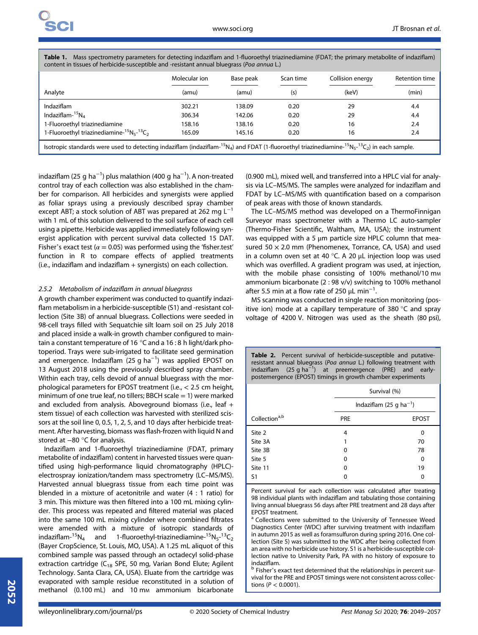|                                                            | Molecular ion | Base peak | Scan time | Collision energy | Retention time |
|------------------------------------------------------------|---------------|-----------|-----------|------------------|----------------|
| Analyte                                                    | (amu)         | (amu)     | (s)       | (keV)            | (min)          |
| <b>Indaziflam</b>                                          | 302.21        | 138.09    | 0.20      | 29               | 4.4            |
| Indaziflam- ${}^{15}N_A$                                   | 306.34        | 142.06    | 0.20      | 29               | 4.4            |
| 1-Fluoroethyl triazinediamine                              | 158.16        | 138.16    | 0.20      | 16               | 2.4            |
| 1-Fluoroethyl triazinediamine- ${}^{15}N_5$ - ${}^{13}C_2$ | 165.09        | 145.16    | 0.20      | 16               | 2.4            |

Table 1. Mass spectrometry parameters for detecting indaziflam and 1-fluoroethyl triazinediamine (FDAT; the primary metabolite of indaziflam) content in tissues of herbicide-susceptible and -resistant annual bluegrass (Poa annua L.)

indaziflam (25 g ha $^{-1}$ ) plus malathion (400 g ha $^{-1}$ ). A non-treated control tray of each collection was also established in the chamber for comparison. All herbicides and synergists were applied as foliar sprays using a previously described spray chamber except ABT; a stock solution of ABT was prepared at 262 mg L<sup>-1</sup> with 1 mL of this solution delivered to the soil surface of each cell using a pipette. Herbicide was applied immediately following synergist application with percent survival data collected 15 DAT. Fisher's exact test ( $\alpha$  = 0.05) was performed using the 'fisher.test' function in R to compare effects of applied treatments (i.e., indaziflam and indaziflam + synergists) on each collection.

#### 2.5.2 Metabolism of indaziflam in annual bluegrass

A growth chamber experiment was conducted to quantify indaziflam metabolism in a herbicide-susceptible (S1) and -resistant collection (Site 3B) of annual bluegrass. Collections were seeded in 98-cell trays filled with Sequatchie silt loam soil on 25 July 2018 and placed inside a walk-in growth chamber configured to maintain a constant temperature of 16 °C and a 16 : 8 h light/dark photoperiod. Trays were sub-irrigated to facilitate seed germination and emergence. Indaziflam (25 g ha<sup>-1</sup>) was applied EPOST on 13 August 2018 using the previously described spray chamber. Within each tray, cells devoid of annual bluegrass with the morphological parameters for EPOST treatment (i.e., < 2.5 cm height, minimum of one true leaf, no tillers: BBCH scale  $= 1$ ) were marked and excluded from analysis. Aboveground biomass (i.e., leaf + stem tissue) of each collection was harvested with sterilized scissors at the soil line 0, 0.5, 1, 2, 5, and 10 days after herbicide treatment. After harvesting, biomass was flash-frozen with liquid N and stored at −80 °C for analysis.

Indaziflam and 1-fluoroethyl triazinediamine (FDAT, primary metabolite of indaziflam) content in harvested tissues were quantified using high-performance liquid chromatography (HPLC) electrospray ionization/tandem mass spectrometry (LC–MS/MS). Harvested annual bluegrass tissue from each time point was blended in a mixture of acetonitrile and water (4 : 1 ratio) for 3 min. This mixture was then filtered into a 100 mL mixing cylinder. This process was repeated and filtered material was placed into the same 100 mL mixing cylinder where combined filtrates were amended with a mixture of isotropic standards of indaziflam- ${}^{15}N_4$  and 1-fluoroethyl-triazinediamine- ${}^{15}N_5$ - ${}^{13}C_2$ (Bayer CropScience, St. Louis, MO, USA). A 1.25 mL aliquot of this combined sample was passed through an octadecyl solid-phase extraction cartridge ( $C_{18}$  SPE, 50 mg, Varian Bond Elute; Agilent Technology. Santa Clara, CA, USA). Eluate from the cartridge was evaporated with sample residue reconstituted in a solution of methanol (0.100 mL) and 10 mm ammonium bicarbonate

(0.900 mL), mixed well, and transferred into a HPLC vial for analysis via LC–MS/MS. The samples were analyzed for indaziflam and FDAT by LC–MS/MS with quantification based on a comparison of peak areas with those of known standards.

The LC–MS/MS method was developed on a ThermoFinnigan Surveyor mass spectrometer with a Thermo LC auto-sampler (Thermo-Fisher Scientific, Waltham, MA, USA); the instrument was equipped with a 5 μm particle size HPLC column that measured  $50 \times 2.0$  mm (Phenomenex, Torrance, CA, USA) and used in a column oven set at 40 °C. A 20 μL injection loop was used which was overfilled. A gradient program was used, at injection, with the mobile phase consisting of 100% methanol/10 mm ammonium bicarbonate (2 : 98 v/v) switching to 100% methanol after 5.5 min at a flow rate of 250  $\mu$ L min<sup>-1</sup>. .

MS scanning was conducted in single reaction monitoring (positive ion) mode at a capillary temperature of 380 °C and spray voltage of 4200 V. Nitrogen was used as the sheath (80 psi),

Table 2. Percent survival of herbicide-susceptible and putativeresistant annual bluegrass (Poa annua L.) following treatment with indaziflam  $(25 g ha^{-1})$  at preemergence (PRE) and earlypostemergence (EPOST) timings in growth chamber experiments

|                           | Survival (%)                        |              |  |  |
|---------------------------|-------------------------------------|--------------|--|--|
|                           | Indaziflam (25 g ha <sup>-1</sup> ) |              |  |  |
| Collection <sup>a,b</sup> | <b>PRE</b>                          | <b>EPOST</b> |  |  |
| Site 2                    | 4                                   | 0            |  |  |
| Site 3A                   |                                     | 70           |  |  |
| Site 3B                   | 0                                   | 78           |  |  |
| Site 5                    | 0                                   | 0            |  |  |
| Site 11                   | 0                                   | 19           |  |  |
| S1                        | O                                   | 0            |  |  |

Percent survival for each collection was calculated after treating 98 individual plants with indaziflam and tabulating those containing living annual bluegrass 56 days after PRE treatment and 28 days after EPOST treatment.

<sup>a</sup> Collections were submitted to the University of Tennessee Weed Diagnostics Center (WDC) after surviving treatment with indaziflam in autumn 2015 as well as foramsulfuron during spring 2016. One collection (Site 5) was submitted to the WDC after being collected from an area with no herbicide use history. S1 is a herbicide-susceptible collection native to University Park, PA with no history of exposure to indaziflam.<br><sup>b</sup> Fisher's exact test determined that the relationships in percent sur-

vival for the PRE and EPOST timings were not consistent across collections ( $P < 0.0001$ ).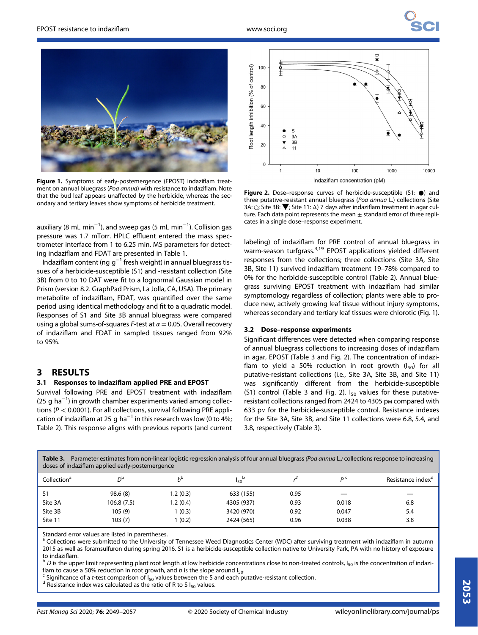

Figure 1. Symptoms of early-postemergence (EPOST) indaziflam treatment on annual bluegrass (Poa annua) with resistance to indaziflam. Note that the bud leaf appears unaffected by the herbicide, whereas the secondary and tertiary leaves show symptoms of herbicide treatment.

auxiliary (8 mL min<sup>-1</sup>), and sweep gas (5 mL min<sup>-1</sup>). Collision gas pressure was 1.7 mTorr. HPLC effluent entered the mass spectrometer interface from 1 to 6.25 min. MS parameters for detecting indaziflam and FDAT are presented in Table 1.

Indaziflam content (ng  $g^{-1}$  fresh weight) in annual bluegrass tissues of a herbicide-susceptible (S1) and -resistant collection (Site 3B) from 0 to 10 DAT were fit to a lognormal Gaussian model in Prism (version 8.2. GraphPad Prism, La Jolla, CA, USA). The primary metabolite of indaziflam, FDAT, was quantified over the same period using identical methodology and fit to a quadratic model. Responses of S1 and Site 3B annual bluegrass were compared using a global sums-of-squares F-test at  $\alpha = 0.05$ . Overall recovery of indaziflam and FDAT in sampled tissues ranged from 92% to 95%.

# 3 RESULTS

## 3.1 Responses to indaziflam applied PRE and EPOST

Survival following PRE and EPOST treatment with indaziflam (25 g ha $^{-1}$ ) in growth chamber experiments varied among collections ( $P < 0.0001$ ). For all collections, survival following PRE application of indaziflam at 25 g ha<sup>-1</sup> in this research was low (0 to 4%; Table 2). This response aligns with previous reports (and current



Figure 2. Dose–response curves of herbicide-susceptible (S1: ●) and three putative-resistant annual bluegrass (Poa annua L.) collections (Site 3A:  $\odot$ ; Site 3B:  $\blacktriangledown$ ; Site 11:  $\Delta$ ) 7 days after indaziflam treatment in agar culture. Each data point represents the mean  $\pm$  standard error of three replicates in a single dose–response experiment.

labeling) of indaziflam for PRE control of annual bluegrass in warm-season turfgrass.<sup>4,19</sup> EPOST applications yielded different responses from the collections; three collections (Site 3A, Site 3B, Site 11) survived indaziflam treatment 19–78% compared to 0% for the herbicide-susceptible control (Table 2). Annual bluegrass surviving EPOST treatment with indaziflam had similar symptomology regardless of collection; plants were able to produce new, actively growing leaf tissue without injury symptoms, whereas secondary and tertiary leaf tissues were chlorotic (Fig. 1).

#### 3.2 Dose–response experiments

Significant differences were detected when comparing response of annual bluegrass collections to increasing doses of indaziflam in agar, EPOST (Table 3 and Fig. 2). The concentration of indaziflam to yield a 50% reduction in root growth  $(I_{50})$  for all putative-resistant collections (i.e., Site 3A, Site 3B, and Site 11) was significantly different from the herbicide-susceptible (S1) control (Table 3 and Fig. 2).  $I_{50}$  values for these putativeresistant collections ranged from 2424 to 4305 pm compared with 633 pm for the herbicide-susceptible control. Resistance indexes for the Site 3A, Site 3B, and Site 11 collections were 6.8, 5.4, and 3.8, respectively (Table 3).

| Parameter estimates from non-linear logistic regression analysis of four annual bluegrass (Poa annua L.) collections response to increasing<br>Table 3.<br>doses of indaziflam applied early-postemergence |            |                |            |      |       |                               |
|------------------------------------------------------------------------------------------------------------------------------------------------------------------------------------------------------------|------------|----------------|------------|------|-------|-------------------------------|
| Collection <sup>a</sup>                                                                                                                                                                                    | ηb         | h <sup>b</sup> | $I_{50}$   |      | D C   | Resistance index <sup>d</sup> |
| S1                                                                                                                                                                                                         | 98.6(8)    | 1.2(0.3)       | 633 (155)  | 0.95 |       |                               |
| Site 3A                                                                                                                                                                                                    | 106.8(7.5) | 1.2(0.4)       | 4305 (937) | 0.93 | 0.018 | 6.8                           |
| Site 3B                                                                                                                                                                                                    | 105 (9)    | 1(0.3)         | 3420 (970) | 0.92 | 0.047 | 5.4                           |
| Site 11                                                                                                                                                                                                    | 103(7)     | 1(0.2)         | 2424 (565) | 0.96 | 0.038 | 3.8                           |

Standard error values are listed in parentheses.

<sup>a</sup> Collections were submitted to the University of Tennessee Weed Diagnostics Center (WDC) after surviving treatment with indaziflam in autumn 2015 as well as foramsulfuron during spring 2016. S1 is a herbicide-susceptible collection native to University Park, PA with no history of exposure

to indaziflam.<br><sup>b</sup> D is the upper limit representing plant root length at low herbicide concentrations close to non-treated controls, I<sub>50</sub> is the concentration of indazi-<br>flam to cause a 50% reduction in root growth, and

<sup>c</sup> Significance of a *t*-test comparison of I<sub>50</sub> values between the S and each putative-resistant collection.<br><sup>d</sup> Resistance index was calculated as the ratio of R to S I<sub>50</sub> values.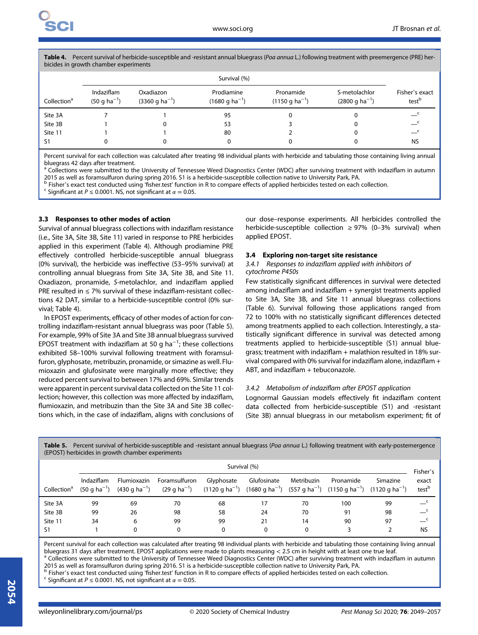Table 4. Percent survival of herbicide-susceptible and -resistant annual bluegrass (Poa annua L.) following treatment with preemergence (PRE) herbicides in growth chamber experiments

|                         | Survival (%)                   |                                 |                                  |                                 |                                     |                                     |
|-------------------------|--------------------------------|---------------------------------|----------------------------------|---------------------------------|-------------------------------------|-------------------------------------|
| Collection <sup>a</sup> | Indaziflam<br>$(50 g ha^{-1})$ | Oxadiazon<br>$(3360 g ha^{-1})$ | Prodiamine<br>$(1680 g ha^{-1})$ | Pronamide<br>$(1150 g ha^{-1})$ | S-metolachlor<br>$(2800 g ha^{-1})$ | Fisher's exact<br>test <sup>b</sup> |
| Site 3A                 |                                |                                 | 95                               |                                 |                                     |                                     |
| Site 3B                 |                                |                                 | 53                               |                                 |                                     | $\mathbf{C}$                        |
| Site 11                 |                                |                                 | 80                               |                                 |                                     | $\overline{\phantom{0}}$            |
| S1                      |                                |                                 |                                  |                                 |                                     | <b>NS</b>                           |

Percent survival for each collection was calculated after treating 98 individual plants with herbicide and tabulating those containing living annual bluegrass 42 days after treatment.

<sup>a</sup> Collections were submitted to the University of Tennessee Weed Diagnostics Center (WDC) after surviving treatment with indaziflam in autumn 2015 as well as foramsulfuron during spring 2016. S1 is a herbicide-susceptible collection native to University Park, PA.

<sup>b</sup> Fisher's exact test conducted using 'fisher.test' function in R to compare effects of applied herbicides tested on each collection. c Significant at P ≤ 0.0001. NS, not significant at  $\alpha = 0.05$ .

#### 3.3 Responses to other modes of action

Survival of annual bluegrass collections with indaziflam resistance (i.e., Site 3A, Site 3B, Site 11) varied in response to PRE herbicides applied in this experiment (Table 4). Although prodiamine PRE effectively controlled herbicide-susceptible annual bluegrass (0% survival), the herbicide was ineffective (53–95% survival) at controlling annual bluegrass from Site 3A, Site 3B, and Site 11. Oxadiazon, pronamide, S-metolachlor, and indaziflam applied PRE resulted in ≤ 7% survival of these indaziflam-resistant collections 42 DAT, similar to a herbicide-susceptible control (0% survival; Table 4).

In EPOST experiments, efficacy of other modes of action for controlling indaziflam-resistant annual bluegrass was poor (Table 5). For example, 99% of Site 3A and Site 3B annual bluegrass survived EPOST treatment with indaziflam at 50 g ha $^{-1}$ ; these collections exhibited 58–100% survival following treatment with foramsulfuron, glyphosate, metribuzin, pronamide, or simazine as well. Flumioxazin and glufosinate were marginally more effective; they reduced percent survival to between 17% and 69%. Similar trends were apparent in percent survival data collected on the Site 11 collection; however, this collection was more affected by indaziflam, flumioxazin, and metribuzin than the Site 3A and Site 3B collections which, in the case of indaziflam, aligns with conclusions of

our dose–response experiments. All herbicides controlled the herbicide-susceptible collection  $\geq$  97% (0–3% survival) when applied EPOST.

#### 3.4 Exploring non-target site resistance

#### 3.4.1 Responses to indaziflam applied with inhibitors of cytochrome P450s

Few statistically significant differences in survival were detected among indaziflam and indaziflam + synergist treatments applied to Site 3A, Site 3B, and Site 11 annual bluegrass collections (Table 6). Survival following those applications ranged from 72 to 100% with no statistically significant differences detected among treatments applied to each collection. Interestingly, a statistically significant difference in survival was detected among treatments applied to herbicide-susceptible (S1) annual bluegrass; treatment with indaziflam + malathion resulted in 18% survival compared with 0% survival for indaziflam alone, indaziflam + ABT, and indaziflam + tebuconazole.

#### 3.4.2 Metabolism of indaziflam after EPOST application

Lognormal Gaussian models effectively fit indaziflam content data collected from herbicide-susceptible (S1) and -resistant (Site 3B) annual bluegrass in our metabolism experiment; fit of

| $\sum$                  |                                        |                                          |                                           |            |                                                                                                                                                      |            |           |          |                            |
|-------------------------|----------------------------------------|------------------------------------------|-------------------------------------------|------------|------------------------------------------------------------------------------------------------------------------------------------------------------|------------|-----------|----------|----------------------------|
|                         | Survival (%)                           |                                          |                                           |            |                                                                                                                                                      |            | Fisher's  |          |                            |
| Collection <sup>a</sup> | Indaziflam<br>$(50 \text{ q ha}^{-1})$ | Flumioxazin<br>$(430 \text{ q ha}^{-1})$ | Foramsulfuron<br>(29 g ha <sup>-1</sup> ) | Glyphosate | Glufosinate<br>$(1120 \text{ q ha}^{-1})$ $(1680 \text{ q ha}^{-1})$ $(557 \text{ q ha}^{-1})$ $(1150 \text{ q ha}^{-1})$ $(1120 \text{ q ha}^{-1})$ | Metribuzin | Pronamide | Simazine | exact<br>test <sup>b</sup> |
| Site 3A                 | 99                                     | 69                                       | 70                                        | 68         | ۱7                                                                                                                                                   | 70         | 100       | 99       |                            |
| Site 3B                 | 99                                     | 26                                       | 98                                        | 58         | 24                                                                                                                                                   | 70         | 91        | 98       | $\mathbf{C}$               |
| Site 11                 | 34                                     | 6                                        | 99                                        | 99         | 21                                                                                                                                                   | 14         | 90        | 97       | $\mathbf{C}$               |
| S <sub>1</sub>          |                                        | 0                                        |                                           | 0          | 0                                                                                                                                                    | 0          |           |          | <b>NS</b>                  |

Table 5. Percent survival of herbicide-susceptible and -resistant annual bluegrass (Poa annua L.) following treatment with early-postemergence  $(FPOST)$  herbicides in growth chamber experiments

Percent survival for each collection was calculated after treating 98 individual plants with herbicide and tabulating those containing living annual bluegrass 31 days after treatment. EPOST applications were made to plants measuring < 2.5 cm in height with at least one true leaf.<br><sup>a</sup> Collections were submitted to the University of Tennessee Weed Diagnostics Center (WDC

2015 as well as foramsulfuron during spring 2016. S1 is a herbicide-susceptible collection native to University Park, PA.  $^{\text{b}}$  Fisher's exact test conducted using 'fisher.test' function in R to compare effects of applied herbicides tested on each collection.<br><sup>c</sup> Significant at P ≤ 0.0001. NS, not significant at α = 0.05.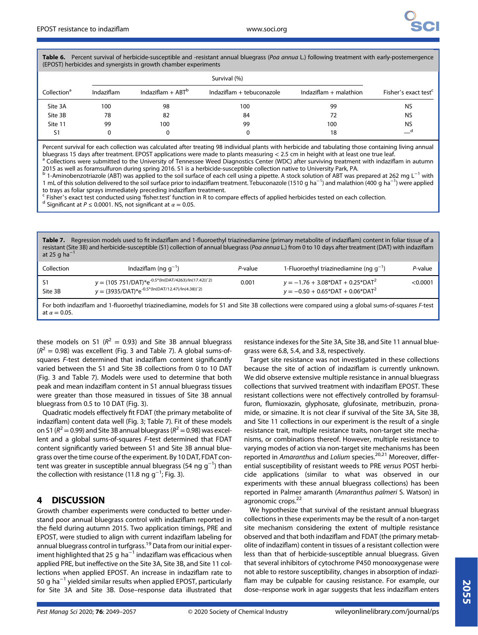Table 6. Percent survival of herbicide-susceptible and -resistant annual bluegrass (Poa annua L.) following treatment with early-postemergence (EPOST) herbicides and synergists in growth chamber experiments

|                         |            |                     | Survival (%)              |                          |                                  |
|-------------------------|------------|---------------------|---------------------------|--------------------------|----------------------------------|
| Collection <sup>a</sup> | Indaziflam | $Indaziflam + ABTb$ | Indaziflam + tebuconazole | Indaziflam $+$ malathion | Fisher's exact test <sup>c</sup> |
| Site 3A                 | 100        | 98                  | 100                       | 99                       | <b>NS</b>                        |
| Site 3B                 | 78         | 82                  | 84                        | 72                       | <b>NS</b>                        |
| Site 11                 | 99         | 100                 | 99                        | 100                      | <b>NS</b>                        |
| S <sub>1</sub>          |            |                     |                           | 18                       | __a                              |

Percent survival for each collection was calculated after treating 98 individual plants with herbicide and tabulating those containing living annual bluegrass 15 days after treatment. EPOST applications were made to plants measuring < 2.5 cm in height with at least one true leaf.<br><sup>a</sup> Collections were submitted to the University of Tennessee Weed Diagnostics Center (WDC

2015 as well as foramsulfuron during spring 2016. S1 is a herbicide-susceptible collection native to University Park, PA.

<sup>b</sup> 1-Aminobenzotriazole (ABT) was applied to the soil surface of each cell using a pipette. A stock solution of ABT was prepared at 262 mg L−<sup>1</sup> with 1 mL of this solution delivered to the soil surface prior to indaziflam treatment. Tebuconazole (1510 g ha<sup>-1</sup>) and malathion (400 g ha<sup>-1</sup>) were applied

to trays as foliar sprays immediately preceding indaziflam treatment.<br><sup>c</sup> Fisher's exact test conducted using 'fisher.test' function in R to compare effects of applied herbicides tested on each collection.<br><sup>d</sup> Significant

Table 7. Regression models used to fit indaziflam and 1-fluoroethyl triazinediamine (primary metabolite of indaziflam) content in foliar tissue of a resistant (Site 3B) and herbicide-susceptible (S1) collection of annual bluegrass (Poa annua L.) from 0 to 10 days after treatment (DAT) with indaziflam at 25 g ha $^{-1}$ 

| $y = (105751/DAT)*e^{-0.5*(ln(DAT/4263)/ln(17.42))}$<br>$y = -1.76 + 3.08*$ DAT + 0.25*DAT <sup>2</sup><br>0.001 | Collection | Indaziflam (ng $q^{-1}$ )                            | P-value | 1-Fluoroethyl triazinediamine (ng $q^{-1}$ )    | P-value    |
|------------------------------------------------------------------------------------------------------------------|------------|------------------------------------------------------|---------|-------------------------------------------------|------------|
|                                                                                                                  | Site 3B    | $y = (3935/DAT)*e^{-0.5*(ln(DAT/12.47)/ln(4.38))^2}$ |         | $y = -0.50 + 0.65*$ DAT + 0.06*DAT <sup>2</sup> | $<$ 0.0001 |

For both indaziflam and 1-fluoroethyl triazinediamine, models for S1 and Site 3B collections were compared using a global sums-of-squares F-test at  $\alpha = 0.05$ .

these models on S1 ( $R^2 = 0.93$ ) and Site 3B annual bluegrass  $(R^{2} = 0.98)$  was excellent (Fig. 3 and Table 7). A global sums-ofsquares F-test determined that indaziflam content significantly varied between the S1 and Site 3B collections from 0 to 10 DAT (Fig. 3 and Table 7). Models were used to determine that both peak and mean indaziflam content in S1 annual bluegrass tissues were greater than those measured in tissues of Site 3B annual bluegrass from 0.5 to 10 DAT (Fig. 3).

Quadratic models effectively fit FDAT (the primary metabolite of indaziflam) content data well (Fig. 3; Table 7). Fit of these models on S1 ( $R^2$  = 0.99) and Site 3B annual bluegrass ( $R^2$  = 0.98) was excellent and a global sums-of-squares F-test determined that FDAT content significantly varied between S1 and Site 3B annual bluegrass over the time course of the experiment. By 10 DAT, FDAT content was greater in susceptible annual bluegrass (54 ng g<sup>−1</sup>) than the collection with resistance (11.8 ng g<sup>-1</sup>; Fig. 3).

# 4 DISCUSSION

Growth chamber experiments were conducted to better understand poor annual bluegrass control with indaziflam reported in the field during autumn 2015. Two application timings, PRE and EPOST, were studied to align with current indaziflam labeling for annual bluegrass control in turfgrass.<sup>19</sup> Data from our initial experiment highlighted that 25 g ha<sup> $-1$ </sup> indaziflam was efficacious when applied PRE, but ineffective on the Site 3A, Site 3B, and Site 11 collections when applied EPOST. An increase in indaziflam rate to 50 g ha−<sup>1</sup> yielded similar results when applied EPOST, particularly for Site 3A and Site 3B. Dose–response data illustrated that resistance indexes for the Site 3A, Site 3B, and Site 11 annual bluegrass were 6.8, 5.4, and 3.8, respectively.

Target site resistance was not investigated in these collections because the site of action of indaziflam is currently unknown. We did observe extensive multiple resistance in annual bluegrass collections that survived treatment with indaziflam EPOST. These resistant collections were not effectively controlled by foramsulfuron, flumioxazin, glyphosate, glufosinate, metribuzin, pronamide, or simazine. It is not clear if survival of the Site 3A, Site 3B, and Site 11 collections in our experiment is the result of a single resistance trait, multiple resistance traits, non-target site mechanisms, or combinations thereof. However, multiple resistance to varying modes of action via non-target site mechanisms has been reported in Amaranthus and Lolium species.<sup>20,21</sup> Moreover, differential susceptibility of resistant weeds to PRE versus POST herbicide applications (similar to what was observed in our experiments with these annual bluegrass collections) has been reported in Palmer amaranth (Amaranthus palmeri S. Watson) in agronomic crops.<sup>22</sup>

We hypothesize that survival of the resistant annual bluegrass collections in these experiments may be the result of a non-target site mechanism considering the extent of multiple resistance observed and that both indaziflam and FDAT (the primary metabolite of indaziflam) content in tissues of a resistant collection were less than that of herbicide-susceptible annual bluegrass. Given that several inhibitors of cytochrome P450 monooxygenase were not able to restore susceptibility, changes in absorption of indaziflam may be culpable for causing resistance. For example, our dose–response work in agar suggests that less indaziflam enters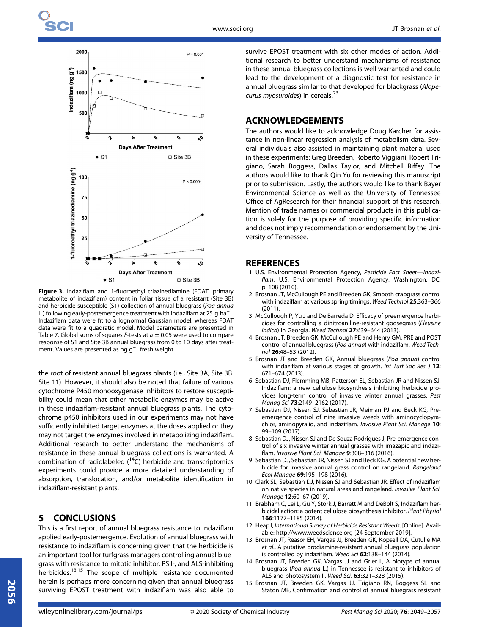

Figure 3. Indaziflam and 1-fluoroethyl triazinediamine (FDAT, primary metabolite of indaziflam) content in foliar tissue of a resistant (Site 3B) and herbicide-susceptible (S1) collection of annual bluegrass (Poa annua L.) following early-postemergence treatment with indaziflam at 25 q ha<sup>-1</sup> . Indaziflam data were fit to a lognormal Gaussian model, whereas FDAT data were fit to a quadratic model. Model parameters are presented in Table 7. Global sums of squares F-tests at  $\alpha = 0.05$  were used to compare response of S1 and Site 3B annual bluegrass from 0 to 10 days after treatment. Values are presented as ng g<sup>-1</sup> fresh weight.

the root of resistant annual bluegrass plants (i.e., Site 3A, Site 3B. Site 11). However, it should also be noted that failure of various cytochrome P450 monooxygenase inhibitors to restore susceptibility could mean that other metabolic enzymes may be active in these indaziflam-resistant annual bluegrass plants. The cytochrome p450 inhibitors used in our experiments may not have sufficiently inhibited target enzymes at the doses applied or they may not target the enzymes involved in metabolizing indaziflam. Additional research to better understand the mechanisms of resistance in these annual bluegrass collections is warranted. A combination of radiolabeled  $(^{14}C)$  herbicide and transcriptomics experiments could provide a more detailed understanding of absorption, translocation, and/or metabolite identification in indaziflam-resistant plants.

## 5 CONCLUSIONS

This is a first report of annual bluegrass resistance to indaziflam applied early-postemergence. Evolution of annual bluegrass with resistance to indaziflam is concerning given that the herbicide is an important tool for turfgrass managers controlling annual bluegrass with resistance to mitotic inhibitor, PSII-, and ALS-inhibiting herbicides.13,15 The scope of multiple resistance documented herein is perhaps more concerning given that annual bluegrass surviving EPOST treatment with indaziflam was also able to survive EPOST treatment with six other modes of action. Additional research to better understand mechanisms of resistance in these annual bluegrass collections is well warranted and could lead to the development of a diagnostic test for resistance in annual bluegrass similar to that developed for blackgrass (Alopecurus myosuroides) in cereals.<sup>23</sup>

## ACKNOWLEDGEMENTS

The authors would like to acknowledge Doug Karcher for assistance in non-linear regression analysis of metabolism data. Several individuals also assisted in maintaining plant material used in these experiments: Greg Breeden, Roberto Viggiani, Robert Trigiano, Sarah Boggess, Dallas Taylor, and Mitchell Riffey. The authors would like to thank Qin Yu for reviewing this manuscript prior to submission. Lastly, the authors would like to thank Bayer Environmental Science as well as the University of Tennessee Office of AgResearch for their financial support of this research. Mention of trade names or commercial products in this publication is solely for the purpose of providing specific information and does not imply recommendation or endorsement by the University of Tennessee.

## **REFERENCES**

- 1 U.S. Environmental Protection Agency, Pesticide Fact Sheet—Indaziflam. U.S. Environmental Protection Agency, Washington, DC, p. 108 (2010).
- 2 Brosnan JT, McCullough PE and Breeden GK, Smooth crabgrass control with indaziflam at various spring timings. Weed Technol 25:363–366 (2011).
- 3 McCullough P, Yu J and De Barreda D, Efficacy of preemergence herbicides for controlling a dinitroaniline-resistant goosegrass (Eleusine indica) in Georgia. Weed Technol 27:639-644 (2013).
- 4 Brosnan JT, Breeden GK, McCullough PE and Henry GM, PRE and POST control of annual bluegrass (Poa annua) with indaziflam. Weed Technol 26:48–53 (2012).
- 5 Brosnan JT and Breeden GK, Annual bluegrass (Poa annua) control with indaziflam at various stages of growth. Int Turf Soc Res J 12: 671–674 (2013).
- 6 Sebastian DJ, Flemming MB, Patterson EL, Sebastian JR and Nissen SJ, Indaziflam: a new cellulose biosynthesis inhibiting herbicide provides long-term control of invasive winter annual grasses. Pest Manag Sci 73:2149–2162 (2017).
- 7 Sebastian DJ, Nissen SJ, Sebastian JR, Meiman PJ and Beck KG, Preemergence control of nine invasive weeds with aminocyclopyrachlor, aminopyralid, and indaziflam. Invasive Plant Sci. Manage 10: 99–109 (2017).
- 8 Sebastian DJ, Nissen SJ and De Souza Rodrigues J, Pre-emergence control of six invasive winter annual grasses with imazapic and indaziflam. Invasive Plant Sci. Manage 9:308-316 (2016).
- 9 Sebastian DJ, Sebastian JR, Nissen SJ and Beck KG, A potential new herbicide for invasive annual grass control on rangeland. Rangeland Ecol Manage 69:195–198 (2016).
- 10 Clark SL, Sebastian DJ, Nissen SJ and Sebastian JR, Effect of indaziflam on native species in natural areas and rangeland. Invasive Plant Sci. Manage 12:60–67 (2019).
- 11 Brabham C, Lei L, Gu Y, Stork J, Barrett M and DeBolt S, Indaziflam herbicidal action: a potent cellulose biosynthesis inhibitor. Plant Physiol 166:1177–1185 (2014).
- 12 Heap I, International Survey of Herbicide Resistant Weeds. [Online]. Available:<http://www.weedscience.org> [24 September 2019].
- 13 Brosnan JT, Reasor EH, Vargas JJ, Breeden GK, Kopsell DA, Cutulle MA et al., A putative prodiamine-resistant annual bluegrass population is controlled by indaziflam. Weed Sci 62:138–144 (2014).
- 14 Brosnan JT, Breeden GK, Vargas JJ and Grier L, A biotype of annual bluegrass (Poa annua L.) in Tennessee is resistant to inhibitors of ALS and photosystem II. Weed Sci. 63:321–328 (2015).
- 15 Brosnan JT, Breeden GK, Vargas JJ, Trigiano RN, Boggess SL and Staton ME, Confirmation and control of annual bluegrass resistant